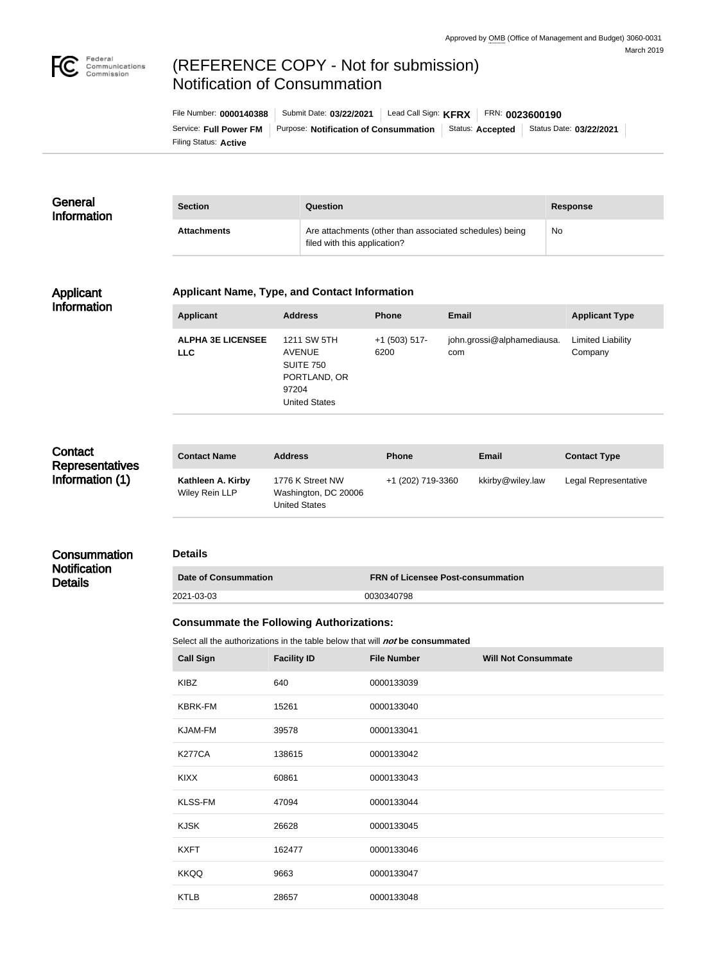

# (REFERENCE COPY - Not for submission) Notification of Consummation

| File Number: 0000140388      | Submit Date: 03/22/2021               | Lead Call Sign: KFRX |                         | FRN: 0023600190         |
|------------------------------|---------------------------------------|----------------------|-------------------------|-------------------------|
| Service: Full Power FM       | Purpose: Notification of Consummation |                      | Status: <b>Accepted</b> | Status Date: 03/22/2021 |
| Filing Status: <b>Active</b> |                                       |                      |                         |                         |

### **General** Information

| <b>Section</b>     | Question                                                                                | <b>Response</b> |
|--------------------|-----------------------------------------------------------------------------------------|-----------------|
| <b>Attachments</b> | Are attachments (other than associated schedules) being<br>filed with this application? | <b>No</b>       |

#### Applicant Information

#### **Applicant Name, Type, and Contact Information**

| Applicant                              | <b>Address</b>                                                                                    | <b>Phone</b>            | Email                             | <b>Applicant Type</b>               |
|----------------------------------------|---------------------------------------------------------------------------------------------------|-------------------------|-----------------------------------|-------------------------------------|
| <b>ALPHA 3E LICENSEE</b><br><b>LLC</b> | 1211 SW 5TH<br><b>AVENUE</b><br><b>SUITE 750</b><br>PORTLAND, OR<br>97204<br><b>United States</b> | $+1$ (503) 517-<br>6200 | john.grossi@alphamediausa.<br>com | <b>Limited Liability</b><br>Company |

# **Contact Representatives** Information (1)

**Notification Details** 

| <b>Contact Name</b>                 | <b>Address</b>                                                   | <b>Phone</b>      | <b>Email</b>     | <b>Contact Type</b>  |
|-------------------------------------|------------------------------------------------------------------|-------------------|------------------|----------------------|
| Kathleen A. Kirby<br>Wiley Rein LLP | 1776 K Street NW<br>Washington, DC 20006<br><b>United States</b> | +1 (202) 719-3360 | kkirby@wiley.law | Legal Representative |

#### **Consummation Details**

| Date of Consummation | <b>FRN of Licensee Post-consummation</b> |
|----------------------|------------------------------------------|
| 2021-03-03           | 0030340798                               |

## **Consummate the Following Authorizations:**

Select all the authorizations in the table below that will **not** be consummated

| <b>Call Sign</b> | <b>Facility ID</b> | <b>File Number</b> | <b>Will Not Consummate</b> |
|------------------|--------------------|--------------------|----------------------------|
| <b>KIBZ</b>      | 640                | 0000133039         |                            |
| <b>KBRK-FM</b>   | 15261              | 0000133040         |                            |
| <b>KJAM-FM</b>   | 39578              | 0000133041         |                            |
| <b>K277CA</b>    | 138615             | 0000133042         |                            |
| <b>KIXX</b>      | 60861              | 0000133043         |                            |
| <b>KLSS-FM</b>   | 47094              | 0000133044         |                            |
| <b>KJSK</b>      | 26628              | 0000133045         |                            |
| <b>KXFT</b>      | 162477             | 0000133046         |                            |
| <b>KKQQ</b>      | 9663               | 0000133047         |                            |
| <b>KTLB</b>      | 28657              | 0000133048         |                            |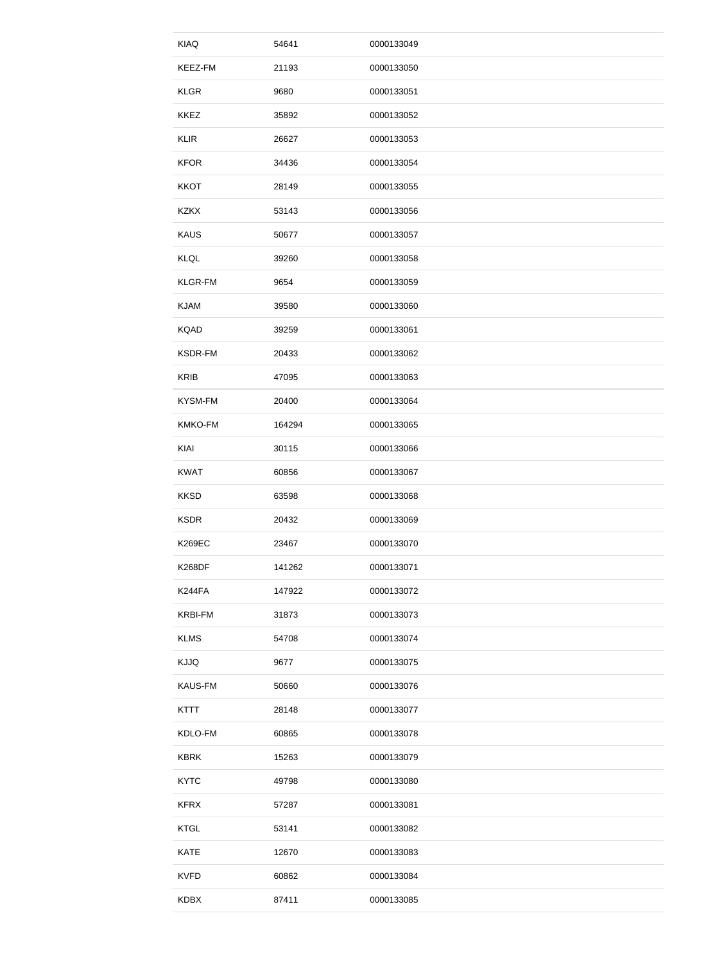| <b>KIAQ</b>    | 54641  | 0000133049 |
|----------------|--------|------------|
| KEEZ-FM        | 21193  | 0000133050 |
| <b>KLGR</b>    | 9680   | 0000133051 |
| <b>KKEZ</b>    | 35892  | 0000133052 |
| <b>KLIR</b>    | 26627  | 0000133053 |
| <b>KFOR</b>    | 34436  | 0000133054 |
| <b>KKOT</b>    | 28149  | 0000133055 |
| <b>KZKX</b>    | 53143  | 0000133056 |
| <b>KAUS</b>    | 50677  | 0000133057 |
| <b>KLQL</b>    | 39260  | 0000133058 |
| KLGR-FM        | 9654   | 0000133059 |
| <b>KJAM</b>    | 39580  | 0000133060 |
| <b>KQAD</b>    | 39259  | 0000133061 |
| <b>KSDR-FM</b> | 20433  | 0000133062 |
| <b>KRIB</b>    | 47095  | 0000133063 |
| KYSM-FM        | 20400  | 0000133064 |
| <b>KMKO-FM</b> | 164294 | 0000133065 |
| KIAI           | 30115  | 0000133066 |
| <b>KWAT</b>    | 60856  | 0000133067 |
| <b>KKSD</b>    | 63598  | 0000133068 |
| <b>KSDR</b>    | 20432  | 0000133069 |
| <b>K269EC</b>  | 23467  | 0000133070 |
| <b>K268DF</b>  | 141262 | 0000133071 |
| K244FA         | 147922 | 0000133072 |
| <b>KRBI-FM</b> | 31873  | 0000133073 |
| <b>KLMS</b>    | 54708  | 0000133074 |
| <b>KJJQ</b>    | 9677   | 0000133075 |
| <b>KAUS-FM</b> | 50660  | 0000133076 |
| <b>KTTT</b>    | 28148  | 0000133077 |
| KDLO-FM        | 60865  | 0000133078 |
| <b>KBRK</b>    | 15263  | 0000133079 |
| <b>KYTC</b>    | 49798  | 0000133080 |
| <b>KFRX</b>    | 57287  | 0000133081 |
| <b>KTGL</b>    | 53141  | 0000133082 |
| <b>KATE</b>    | 12670  | 0000133083 |
| <b>KVFD</b>    | 60862  | 0000133084 |
| <b>KDBX</b>    | 87411  | 0000133085 |
|                |        |            |